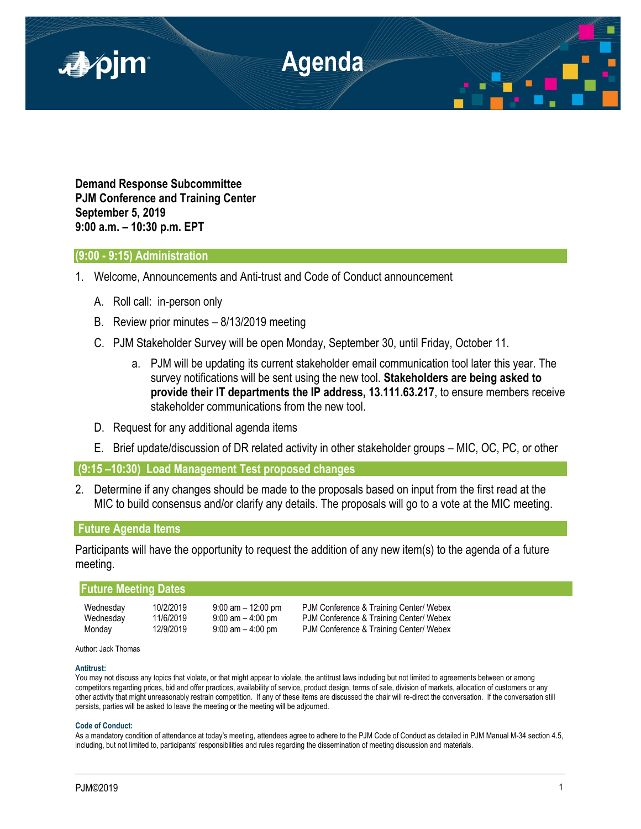

**Demand Response Subcommittee PJM Conference and Training Center September 5, 2019 9:00 a.m. – 10:30 p.m. EPT**

## **(9:00 - 9:15) Administration**

- 1. Welcome, Announcements and Anti-trust and Code of Conduct announcement
	- A. Roll call: in-person only
	- B. Review prior minutes 8/13/2019 meeting
	- C. PJM Stakeholder Survey will be open Monday, September 30, until Friday, October 11.
		- a. PJM will be updating its current stakeholder email communication tool later this year. The survey notifications will be sent using the new tool. **Stakeholders are being asked to provide their IT departments the IP address, 13.111.63.217**, to ensure members receive stakeholder communications from the new tool.
	- D. Request for any additional agenda items
	- E. Brief update/discussion of DR related activity in other stakeholder groups MIC, OC, PC, or other

**(9:15 –10:30) Load Management Test proposed changes**

2. Determine if any changes should be made to the proposals based on input from the first read at the MIC to build consensus and/or clarify any details. The proposals will go to a vote at the MIC meeting.

# **Future Agenda Items**

Participants will have the opportunity to request the addition of any new item(s) to the agenda of a future meeting.

| <b>Future Meeting Dates</b> |           |                       |                                         |  |
|-----------------------------|-----------|-----------------------|-----------------------------------------|--|
| Wednesday                   | 10/2/2019 | $9:00$ am $-12:00$ pm | PJM Conference & Training Center/ Webex |  |
| Wednesday                   | 11/6/2019 | $9:00$ am $-4:00$ pm  | PJM Conference & Training Center/ Webex |  |
| Monday                      | 12/9/2019 | $9:00$ am $-4:00$ pm  | PJM Conference & Training Center/ Webex |  |

### Author: Jack Thomas

### **Antitrust:**

You may not discuss any topics that violate, or that might appear to violate, the antitrust laws including but not limited to agreements between or among competitors regarding prices, bid and offer practices, availability of service, product design, terms of sale, division of markets, allocation of customers or any other activity that might unreasonably restrain competition. If any of these items are discussed the chair will re-direct the conversation. If the conversation still persists, parties will be asked to leave the meeting or the meeting will be adjourned.

### **Code of Conduct:**

As a mandatory condition of attendance at today's meeting, attendees agree to adhere to the PJM Code of Conduct as detailed in PJM Manual M-34 section 4.5, including, but not limited to, participants' responsibilities and rules regarding the dissemination of meeting discussion and materials.